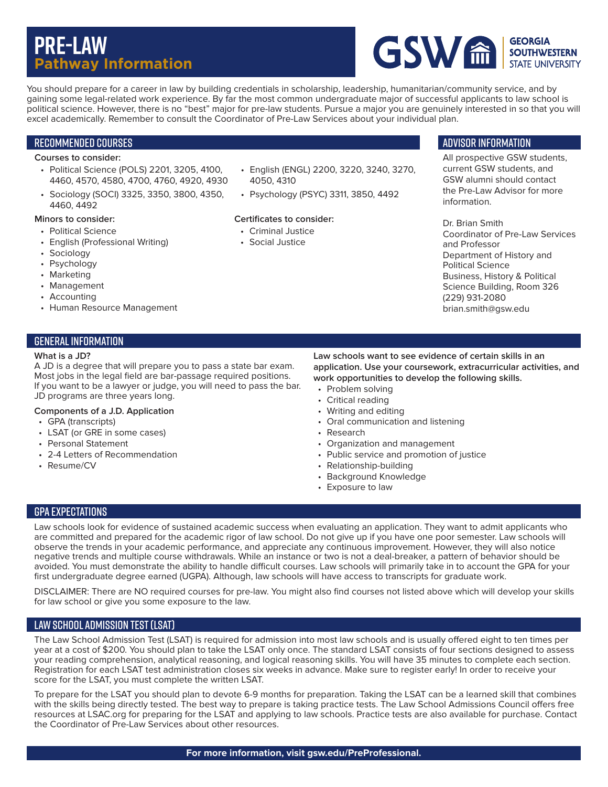# **Pre-Law Pathway Information**



You should prepare for a career in law by building credentials in scholarship, leadership, humanitarian/community service, and by gaining some legal-related work experience. By far the most common undergraduate major of successful applicants to law school is political science. However, there is no "best" major for pre-law students. Pursue a major you are genuinely interested in so that you will excel academically. Remember to consult the Coordinator of Pre-Law Services about your individual plan.

# Recommended Courses

## **Courses to consider:**

- Political Science (POLS) 2201, 3205, 4100, 4460, 4570, 4580, 4700, 4760, 4920, 4930
- Sociology (SOCI) 3325, 3350, 3800, 4350, 4460, 4492

#### **Minors to consider:**

- Political Science
- English (Professional Writing)
- Sociology
- Psychology
- Marketing
- Management
- Accounting
- Human Resource Management

## General information

#### **What is a JD?**

A JD is a degree that will prepare you to pass a state bar exam. Most jobs in the legal field are bar-passage required positions. If you want to be a lawyer or judge, you will need to pass the bar. JD programs are three years long.

#### **Components of a J.D. Application**

- GPA (transcripts)
- LSAT (or GRE in some cases)
- Personal Statement
- 2-4 Letters of Recommendation
- Resume/CV
- English (ENGL) 2200, 3220, 3240, 3270, 4050, 4310
- Psychology (PSYC) 3311, 3850, 4492

#### **Certificates to consider:**

- Criminal Justice
- Social Justice

### Advisor information

All prospective GSW students, current GSW students, and GSW alumni should contact the Pre-Law Advisor for more information.

Dr. Brian Smith Coordinator of Pre-Law Services and Professor Department of History and Political Science Business, History & Political Science Building, Room 326 (229) 931-2080 brian.smith@gsw.edu

- Problem solving
- Critical reading
- 
- 
- Research
- Organization and management
- Public service and promotion of justice
- Relationship-building
- Background Knowledge
- Exposure to law

# GPA Expectations

Law schools look for evidence of sustained academic success when evaluating an application. They want to admit applicants who are committed and prepared for the academic rigor of law school. Do not give up if you have one poor semester. Law schools will observe the trends in your academic performance, and appreciate any continuous improvement. However, they will also notice negative trends and multiple course withdrawals. While an instance or two is not a deal-breaker, a pattern of behavior should be avoided. You must demonstrate the ability to handle difficult courses. Law schools will primarily take in to account the GPA for your first undergraduate degree earned (UGPA). Although, law schools will have access to transcripts for graduate work.

DISCLAIMER: There are NO required courses for pre-law. You might also find courses not listed above which will develop your skills for law school or give you some exposure to the law.

# Law School Admission Test (LSAT)

The Law School Admission Test (LSAT) is required for admission into most law schools and is usually offered eight to ten times per year at a cost of \$200. You should plan to take the LSAT only once. The standard LSAT consists of four sections designed to assess your reading comprehension, analytical reasoning, and logical reasoning skills. You will have 35 minutes to complete each section. Registration for each LSAT test administration closes six weeks in advance. Make sure to register early! In order to receive your score for the LSAT, you must complete the written LSAT.

To prepare for the LSAT you should plan to devote 6-9 months for preparation. Taking the LSAT can be a learned skill that combines with the skills being directly tested. The best way to prepare is taking practice tests. The Law School Admissions Council offers free resources at LSAC.org for preparing for the LSAT and applying to law schools. Practice tests are also available for purchase. Contact the Coordinator of Pre-Law Services about other resources.

**Law schools want to see evidence of certain skills in an application. Use your coursework, extracurricular activities, and work opportunities to develop the following skills.**

- 
- 
- Writing and editing
- Oral communication and listening
- 
-